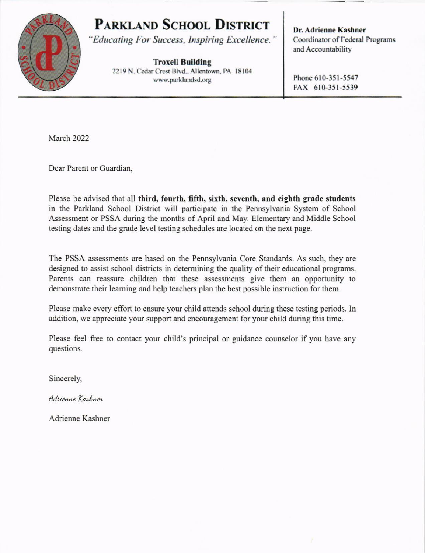## **PARKLAND SCHOOL DISTRICT**



"Educating For Success, Inspiring Excellence."

**Troxell Building** 2219 N. Cedar Crest Blvd., Allentown, PA 18104 www.parklandsd.org

Dr. Adrienne Kashner Coordinator of Federal Programs and Accountability

Phone 610-351-5547 FAX 610-351-5539

March 2022

Dear Parent or Guardian.

Please be advised that all third, fourth, fifth, sixth, seventh, and eighth grade students in the Parkland School District will participate in the Pennsylvania System of School Assessment or PSSA during the months of April and May. Elementary and Middle School testing dates and the grade level testing schedules are located on the next page.

The PSSA assessments are based on the Pennsylvania Core Standards. As such, they are designed to assist school districts in determining the quality of their educational programs. Parents can reassure children that these assessments give them an opportunity to demonstrate their learning and help teachers plan the best possible instruction for them.

Please make every effort to ensure your child attends school during these testing periods. In addition, we appreciate your support and encouragement for your child during this time.

Please feel free to contact your child's principal or guidance counselor if you have any questions.

Sincerely,

Adrienne Kashner

Adrienne Kashner